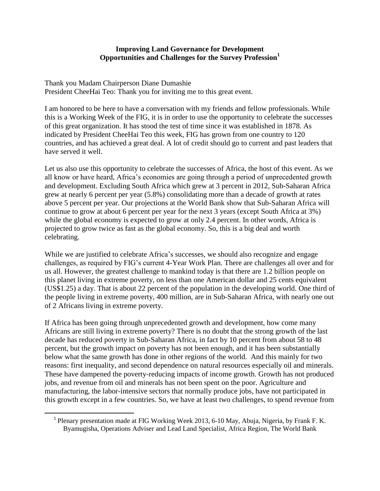## **Improving Land Governance for Development Opportunities and Challenges for the Survey Profession<sup>1</sup>**

Thank you Madam Chairperson Diane Dumashie President CheeHai Teo: Thank you for inviting me to this great event.

I am honored to be here to have a conversation with my friends and fellow professionals. While this is a Working Week of the FIG, it is in order to use the opportunity to celebrate the successes of this great organization. It has stood the test of time since it was established in 1878. As indicated by President CheeHai Teo this week, FIG has grown from one country to 120 countries, and has achieved a great deal. A lot of credit should go to current and past leaders that have served it well.

Let us also use this opportunity to celebrate the successes of Africa, the host of this event. As we all know or have heard, Africa's economies are going through a period of unprecedented growth and development. Excluding South Africa which grew at 3 percent in 2012, Sub-Saharan Africa grew at nearly 6 percent per year (5.8%) consolidating more than a decade of growth at rates above 5 percent per year. Our projections at the World Bank show that Sub-Saharan Africa will continue to grow at about 6 percent per year for the next 3 years (except South Africa at 3%) while the global economy is expected to grow at only 2.4 percent. In other words, Africa is projected to grow twice as fast as the global economy. So, this is a big deal and worth celebrating.

While we are justified to celebrate Africa's successes, we should also recognize and engage challenges, as required by FIG's current 4-Year Work Plan. There are challenges all over and for us all. However, the greatest challenge to mankind today is that there are 1.2 billion people on this planet living in extreme poverty, on less than one American dollar and 25 cents equivalent (US\$1.25) a day. That is about 22 percent of the population in the developing world. One third of the people living in extreme poverty, 400 million, are in Sub-Saharan Africa, with nearly one out of 2 Africans living in extreme poverty.

If Africa has been going through unprecedented growth and development, how come many Africans are still living in extreme poverty? There is no doubt that the strong growth of the last decade has reduced poverty in Sub-Saharan Africa, in fact by 10 percent from about 58 to 48 percent, but the growth impact on poverty has not been enough, and it has been substantially below what the same growth has done in other regions of the world. And this mainly for two reasons: first inequality, and second dependence on natural resources especially oil and minerals. These have dampened the poverty-reducing impacts of income growth. Growth has not produced jobs, and revenue from oil and minerals has not been spent on the poor. Agriculture and manufacturing, the labor-intensive sectors that normally produce jobs, have not participated in this growth except in a few countries. So, we have at least two challenges, to spend revenue from

 $\overline{\phantom{a}}$ 

<sup>&</sup>lt;sup>1</sup> Plenary presentation made at FIG Working Week 2013, 6-10 May, Abuja, Nigeria, by Frank F. K. Byamugisha, Operations Adviser and Lead Land Specialist, Africa Region, The World Bank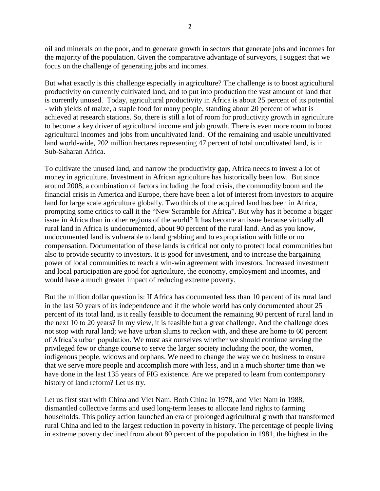oil and minerals on the poor, and to generate growth in sectors that generate jobs and incomes for the majority of the population. Given the comparative advantage of surveyors, I suggest that we focus on the challenge of generating jobs and incomes.

But what exactly is this challenge especially in agriculture? The challenge is to boost agricultural productivity on currently cultivated land, and to put into production the vast amount of land that is currently unused. Today, agricultural productivity in Africa is about 25 percent of its potential - with yields of maize, a staple food for many people, standing about 20 percent of what is achieved at research stations. So, there is still a lot of room for productivity growth in agriculture to become a key driver of agricultural income and job growth. There is even more room to boost agricultural incomes and jobs from uncultivated land. Of the remaining and usable uncultivated land world-wide, 202 million hectares representing 47 percent of total uncultivated land, is in Sub-Saharan Africa.

To cultivate the unused land, and narrow the productivity gap, Africa needs to invest a lot of money in agriculture. Investment in African agriculture has historically been low. But since around 2008, a combination of factors including the food crisis, the commodity boom and the financial crisis in America and Europe, there have been a lot of interest from investors to acquire land for large scale agriculture globally. Two thirds of the acquired land has been in Africa, prompting some critics to call it the "New Scramble for Africa". But why has it become a bigger issue in Africa than in other regions of the world? It has become an issue because virtually all rural land in Africa is undocumented, about 90 percent of the rural land. And as you know, undocumented land is vulnerable to land grabbing and to expropriation with little or no compensation. Documentation of these lands is critical not only to protect local communities but also to provide security to investors. It is good for investment, and to increase the bargaining power of local communities to reach a win-win agreement with investors. Increased investment and local participation are good for agriculture, the economy, employment and incomes, and would have a much greater impact of reducing extreme poverty.

But the million dollar question is: If Africa has documented less than 10 percent of its rural land in the last 50 years of its independence and if the whole world has only documented about 25 percent of its total land, is it really feasible to document the remaining 90 percent of rural land in the next 10 to 20 years? In my view, it is feasible but a great challenge. And the challenge does not stop with rural land; we have urban slums to reckon with, and these are home to 60 percent of Africa's urban population. We must ask ourselves whether we should continue serving the privileged few or change course to serve the larger society including the poor, the women, indigenous people, widows and orphans. We need to change the way we do business to ensure that we serve more people and accomplish more with less, and in a much shorter time than we have done in the last 135 years of FIG existence. Are we prepared to learn from contemporary history of land reform? Let us try.

Let us first start with China and Viet Nam. Both China in 1978, and Viet Nam in 1988, dismantled collective farms and used long-term leases to allocate land rights to farming households. This policy action launched an era of prolonged agricultural growth that transformed rural China and led to the largest reduction in poverty in history. The percentage of people living in extreme poverty declined from about 80 percent of the population in 1981, the highest in the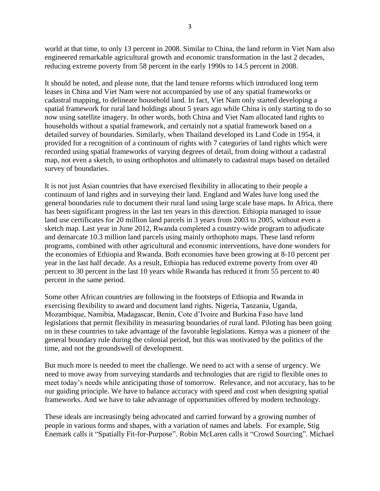world at that time, to only 13 percent in 2008. Similar to China, the land reform in Viet Nam also engineered remarkable agricultural growth and economic transformation in the last 2 decades, reducing extreme poverty from 58 percent in the early 1990s to 14.5 percent in 2008.

It should be noted, and please note, that the land tenure reforms which introduced long term leases in China and Viet Nam were not accompanied by use of any spatial frameworks or cadastral mapping, to delineate household land. In fact, Viet Nam only started developing a spatial framework for rural land holdings about 5 years ago while China is only starting to do so now using satellite imagery. In other words, both China and Viet Nam allocated land rights to households without a spatial framework, and certainly not a spatial framework based on a detailed survey of boundaries. Similarly, when Thailand developed its Land Code in 1954, it provided for a recognition of a continuum of rights with 7 categories of land rights which were recorded using spatial frameworks of varying degrees of detail, from doing without a cadastral map, not even a sketch, to using orthophotos and ultimately to cadastral maps based on detailed survey of boundaries.

It is not just Asian countries that have exercised flexibility in allocating to their people a continuum of land rights and in surveying their land. England and Wales have long used the general boundaries rule to document their rural land using large scale base maps. In Africa, there has been significant progress in the last ten years in this direction. Ethiopia managed to issue land use certificates for 20 million land parcels in 3 years from 2003 to 2005, without even a sketch map. Last year in June 2012, Rwanda completed a country-wide program to adjudicate and demarcate 10.3 million land parcels using mainly orthophoto maps. These land reform programs, combined with other agricultural and economic interventions, have done wonders for the economies of Ethiopia and Rwanda. Both economies have been growing at 8-10 percent per year in the last half decade. As a result, Ethiopia has reduced extreme poverty from over 40 percent to 30 percent in the last 10 years while Rwanda has reduced it from 55 percent to 40 percent in the same period.

Some other African countries are following in the footsteps of Ethiopia and Rwanda in exercising flexibility to award and document land rights. Nigeria, Tanzania, Uganda, Mozambique, Namibia, Madagascar, Benin, Cote d'Ivoire and Burkina Faso have land legislations that permit flexibility in measuring boundaries of rural land. Piloting has been going on in these countries to take advantage of the favorable legislations. Kenya was a pioneer of the general boundary rule during the colonial period, but this was motivated by the politics of the time, and not the groundswell of development.

But much more is needed to meet the challenge. We need to act with a sense of urgency. We need to move away from surveying standards and technologies that are rigid to flexible ones to meet today's needs while anticipating those of tomorrow. Relevance, and not accuracy, has to be our guiding principle. We have to balance accuracy with speed and cost when designing spatial frameworks. And we have to take advantage of opportunities offered by modern technology.

These ideals are increasingly being advocated and carried forward by a growing number of people in various forms and shapes, with a variation of names and labels. For example, Stig Enemark calls it "Spatially Fit-for-Purpose". Robin McLaren calls it "Crowd Sourcing". Michael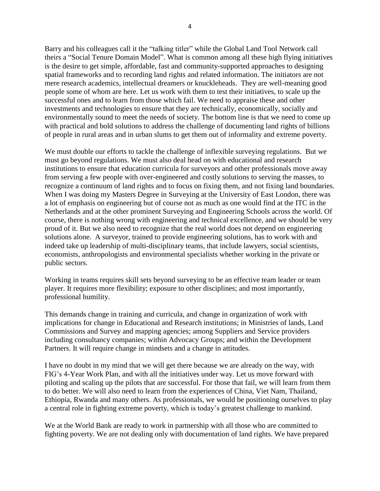Barry and his colleagues call it the "talking titler" while the Global Land Tool Network call theirs a "Social Tenure Domain Model". What is common among all these high flying initiatives is the desire to get simple, affordable, fast and community-supported approaches to designing spatial frameworks and to recording land rights and related information. The initiators are not mere research academics, intellectual dreamers or knuckleheads. They are well-meaning good people some of whom are here. Let us work with them to test their initiatives, to scale up the successful ones and to learn from those which fail. We need to appraise these and other investments and technologies to ensure that they are technically, economically, socially and environmentally sound to meet the needs of society. The bottom line is that we need to come up with practical and bold solutions to address the challenge of documenting land rights of billions of people in rural areas and in urban slums to get them out of informality and extreme poverty.

We must double our efforts to tackle the challenge of inflexible surveying regulations. But we must go beyond regulations. We must also deal head on with educational and research institutions to ensure that education curricula for surveyors and other professionals move away from serving a few people with over-engineered and costly solutions to serving the masses, to recognize a continuum of land rights and to focus on fixing them, and not fixing land boundaries. When I was doing my Masters Degree in Surveying at the University of East London, there was a lot of emphasis on engineering but of course not as much as one would find at the ITC in the Netherlands and at the other prominent Surveying and Engineering Schools across the world. Of course, there is nothing wrong with engineering and technical excellence, and we should be very proud of it. But we also need to recognize that the real world does not depend on engineering solutions alone. A surveyor, trained to provide engineering solutions, has to work with and indeed take up leadership of multi-disciplinary teams, that include lawyers, social scientists, economists, anthropologists and environmental specialists whether working in the private or public sectors.

Working in teams requires skill sets beyond surveying to be an effective team leader or team player. It requires more flexibility; exposure to other disciplines; and most importantly, professional humility.

This demands change in training and curricula, and change in organization of work with implications for change in Educational and Research institutions; in Ministries of lands, Land Commissions and Survey and mapping agencies; among Suppliers and Service providers including consultancy companies; within Advocacy Groups; and within the Development Partners. It will require change in mindsets and a change in attitudes.

I have no doubt in my mind that we will get there because we are already on the way, with FIG's 4-Year Work Plan, and with all the initiatives under way. Let us move forward with piloting and scaling up the pilots that are successful. For those that fail, we will learn from them to do better. We will also need to learn from the experiences of China, Viet Nam, Thailand, Ethiopia, Rwanda and many others. As professionals, we would be positioning ourselves to play a central role in fighting extreme poverty, which is today's greatest challenge to mankind.

We at the World Bank are ready to work in partnership with all those who are committed to fighting poverty. We are not dealing only with documentation of land rights. We have prepared